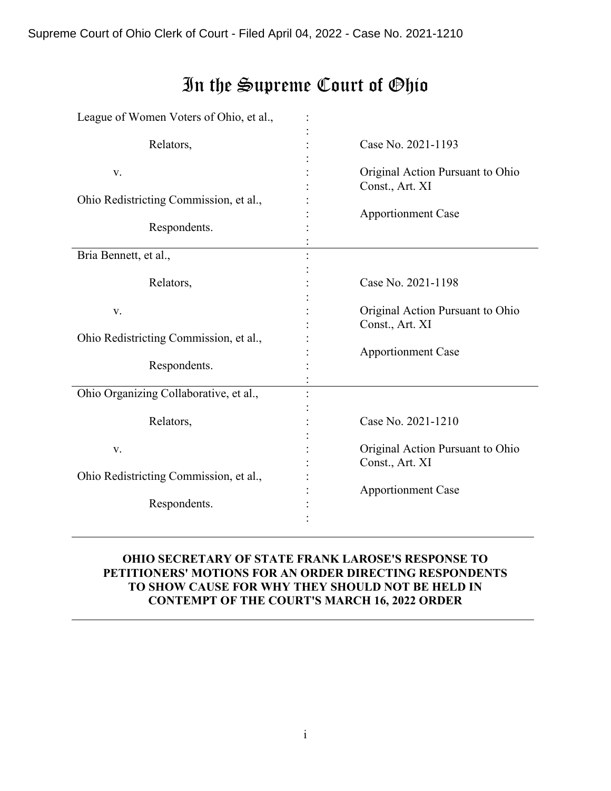Supreme Court of Ohio Clerk of Court - Filed April 04, 2022 - Case No. 2021-1210

#### League of Women Voters of Ohio, et al., Relators, v. Ohio Redistricting Commission, et al., Respondents. : : : : : : : : : : Case No. 2021-1193 Original Action Pursuant to Ohio Const., Art. XI Apportionment Case Bria Bennett, et al., Relators, v. Ohio Redistricting Commission, et al., Respondents. : : : : : : : : : : Case No. 2021-1198 Original Action Pursuant to Ohio Const., Art. XI Apportionment Case Ohio Organizing Collaborative, et al., Relators, v. Ohio Redistricting Commission, et al., Respondents. : : : : : : : : : : Case No. 2021-1210 Original Action Pursuant to Ohio Const., Art. XI Apportionment Case

# In the Supreme Court of Ohio

# **OHIO SECRETARY OF STATE FRANK LAROSE'S RESPONSE TO PETITIONERS' MOTIONS FOR AN ORDER DIRECTING RESPONDENTS TO SHOW CAUSE FOR WHY THEY SHOULD NOT BE HELD IN CONTEMPT OF THE COURT'S MARCH 16, 2022 ORDER**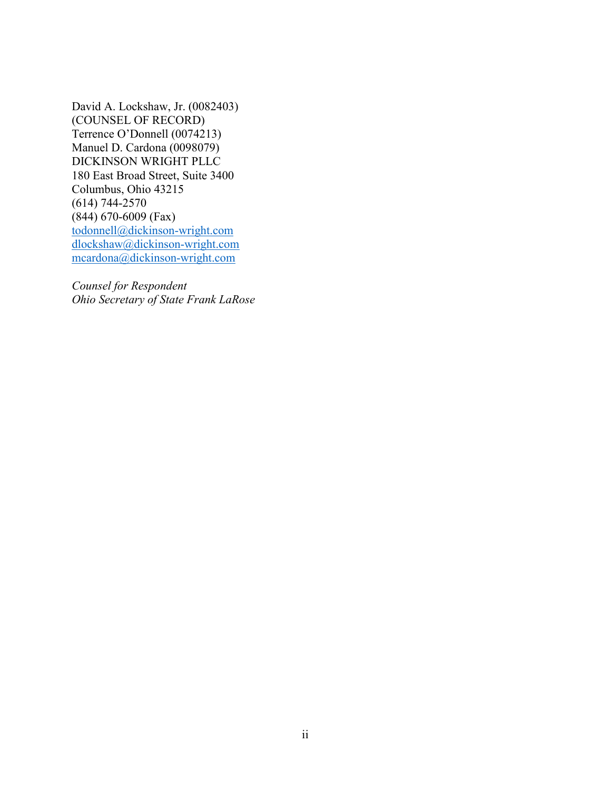David A. Lockshaw, Jr. (0082403) (COUNSEL OF RECORD) Terrence O'Donnell (0074213) Manuel D. Cardona (0098079) DICKINSON WRIGHT PLLC 180 East Broad Street, Suite 3400 Columbus, Ohio 43215 (614) 744-2570 (844) 670-6009 (Fax) [todonnell@dickinson-wright.com](mailto:todonnell@dickinson-wright.com) [dlockshaw@dickinson-wright.com](mailto:dlockshaw@dickinson-wright.com) [mcardona@dickinson-wright.com](mailto:mcardona@dickinson-wright.com)

*Counsel for Respondent Ohio Secretary of State Frank LaRose*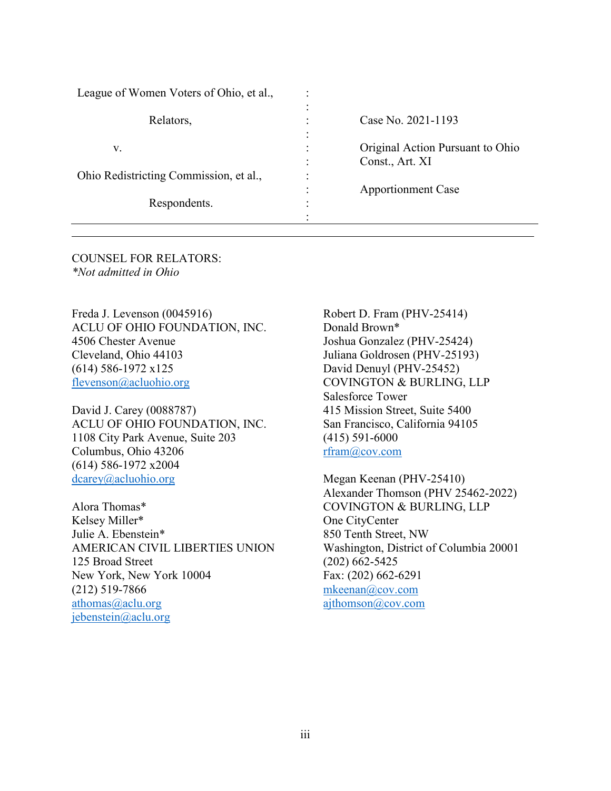| League of Women Voters of Ohio, et al., |                                               |                                                     |
|-----------------------------------------|-----------------------------------------------|-----------------------------------------------------|
| Relators,                               | $\bullet$<br>٠<br>٠<br>$\bullet$<br>$\bullet$ | Case No. 2021-1193                                  |
| V.                                      | $\ddot{\cdot}$<br>÷                           | Original Action Pursuant to Ohio<br>Const., Art. XI |
| Ohio Redistricting Commission, et al.,  | $\bullet$                                     |                                                     |
|                                         | $\bullet$                                     | <b>Apportionment Case</b>                           |
| Respondents.                            | ٠<br>$\bullet$                                |                                                     |
|                                         |                                               |                                                     |

COUNSEL FOR RELATORS: *\*Not admitted in Ohio*

Freda J. Levenson (0045916) ACLU OF OHIO FOUNDATION, INC. 4506 Chester Avenue Cleveland, Ohio 44103 (614) 586-1972 x125 [flevenson@acluohio.org](mailto:flevenson@acluohio.org)

David J. Carey (0088787) ACLU OF OHIO FOUNDATION, INC. 1108 City Park Avenue, Suite 203 Columbus, Ohio 43206 (614) 586-1972 x2004 [dcarey@acluohio.org](mailto:dcarey@acluohio.org)

Alora Thomas\* Kelsey Miller\* Julie A. Ebenstein\* AMERICAN CIVIL LIBERTIES UNION 125 Broad Street New York, New York 10004 (212) 519-7866 [athomas@aclu.org](mailto:athomas@aclu.org) jebenstein@aclu.org

Robert D. Fram (PHV-25414) Donald Brown\* Joshua Gonzalez (PHV-25424) Juliana Goldrosen (PHV-25193) David Denuyl (PHV-25452) COVINGTON & BURLING, LLP Salesforce Tower 415 Mission Street, Suite 5400 San Francisco, California 94105 (415) 591-6000 [rfram@cov.com](mailto:rfram@cov.com)

Megan Keenan (PHV-25410) Alexander Thomson (PHV 25462-2022) COVINGTON & BURLING, LLP One CityCenter 850 Tenth Street, NW Washington, District of Columbia 20001 (202) 662-5425 Fax: (202) 662-6291 [mkeenan@cov.com](mailto:mkeenan@cov.com) [ajthomson@cov.com](mailto:ajthomson@cov.com)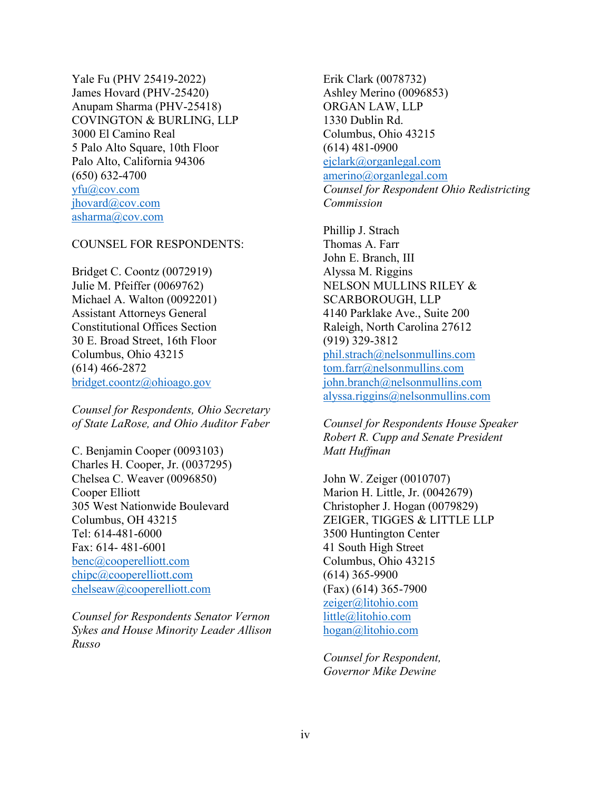Yale Fu (PHV 25419-2022) James Hovard (PHV-25420) Anupam Sharma (PHV-25418) COVINGTON & BURLING, LLP 3000 El Camino Real 5 Palo Alto Square, 10th Floor Palo Alto, California 94306 (650) 632-4700 [yfu@cov.com](mailto:yfu@cov.com) [jhovard@cov.com](mailto:jhovard@cov.com) [asharma@cov.com](mailto:asharma@cov.com)

# COUNSEL FOR RESPONDENTS:

Bridget C. Coontz (0072919) Julie M. Pfeiffer (0069762) Michael A. Walton (0092201) Assistant Attorneys General Constitutional Offices Section 30 E. Broad Street, 16th Floor Columbus, Ohio 43215 (614) 466-2872 [bridget.coontz@ohioago.gov](mailto:bridget.coontz@ohioago.gov)

*Counsel for Respondents, Ohio Secretary of State LaRose, and Ohio Auditor Faber*

C. Benjamin Cooper (0093103) Charles H. Cooper, Jr. (0037295) Chelsea C. Weaver (0096850) Cooper Elliott 305 West Nationwide Boulevard Columbus, OH 43215 Tel: 614-481-6000 Fax: 614- 481-6001 benc@cooperelliott.com chipc@cooperelliott.com chelseaw@cooperelliott.com

*Counsel for Respondents Senator Vernon Sykes and House Minority Leader Allison Russo*

Erik Clark (0078732) Ashley Merino (0096853) ORGAN LAW, LLP 1330 Dublin Rd. Columbus, Ohio 43215 (614) 481-0900 ejclark@organlegal.com amerino@organlegal.com *Counsel for Respondent Ohio Redistricting Commission*

Phillip J. Strach Thomas A. Farr John E. Branch, III Alyssa M. Riggins NELSON MULLINS RILEY & SCARBOROUGH, LLP 4140 Parklake Ave., Suite 200 Raleigh, North Carolina 27612 (919) 329-3812 phil.strach@nelsonmullins.com tom.farr@nelsonmullins.com john.branch@nelsonmullins.com alyssa.riggins@nelsonmullins.com

*Counsel for Respondents House Speaker Robert R. Cupp and Senate President Matt Huffman*

John W. Zeiger (0010707) Marion H. Little, Jr. (0042679) Christopher J. Hogan (0079829) ZEIGER, TIGGES & LITTLE LLP 3500 Huntington Center 41 South High Street Columbus, Ohio 43215 (614) 365-9900 (Fax) (614) 365-7900 [zeiger@litohio.com](mailto:zeiger@litohio.com) [little@litohio.com](mailto:little@litohio.com) hogan@litohio.com

*Counsel for Respondent, Governor Mike Dewine*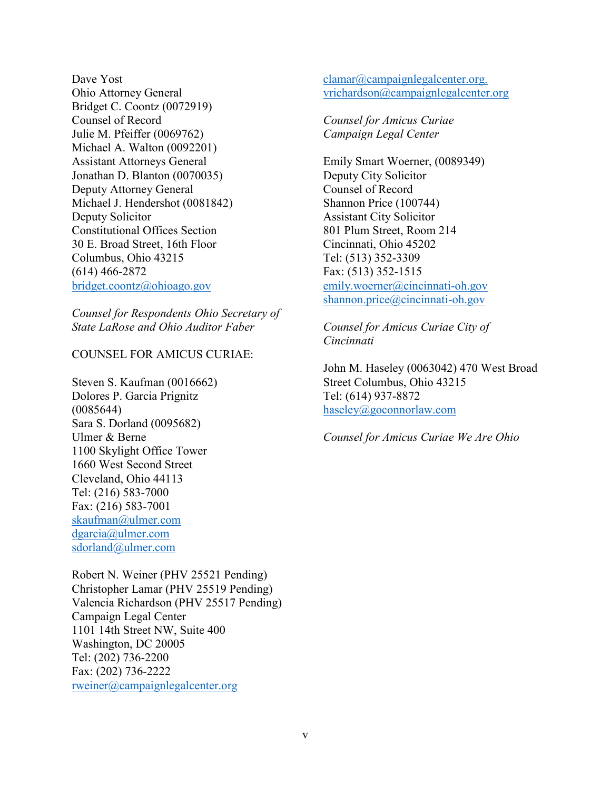Dave Yost Ohio Attorney General Bridget C. Coontz (0072919) Counsel of Record Julie M. Pfeiffer (0069762) Michael A. Walton (0092201) Assistant Attorneys General Jonathan D. Blanton (0070035) Deputy Attorney General Michael J. Hendershot (0081842) Deputy Solicitor Constitutional Offices Section 30 E. Broad Street, 16th Floor Columbus, Ohio 43215 (614) 466-2872 [bridget.coontz@ohioago.gov](mailto:bridget.coontz@ohioago.gov)

*Counsel for Respondents Ohio Secretary of State LaRose and Ohio Auditor Faber*

COUNSEL FOR AMICUS CURIAE:

Steven S. Kaufman (0016662) Dolores P. Garcia Prignitz (0085644) Sara S. Dorland (0095682) Ulmer & Berne 1100 Skylight Office Tower 1660 West Second Street Cleveland, Ohio 44113 Tel: (216) 583-7000 Fax: (216) 583-7001 skaufman@ulmer.com dgarcia@ulmer.com sdorland@ulmer.com

Robert N. Weiner (PHV 25521 Pending) Christopher Lamar (PHV 25519 Pending) Valencia Richardson (PHV 25517 Pending) Campaign Legal Center 1101 14th Street NW, Suite 400 Washington, DC 20005 Tel: (202) 736-2200 Fax: (202) 736-2222 rweiner@campaignlegalcenter.org

clamar@campaignlegalcenter.org. vrichardson@campaignlegalcenter.org

*Counsel for Amicus Curiae Campaign Legal Center*

Emily Smart Woerner, (0089349) Deputy City Solicitor Counsel of Record Shannon Price (100744) Assistant City Solicitor 801 Plum Street, Room 214 Cincinnati, Ohio 45202 Tel: (513) 352-3309 Fax: (513) 352-1515 emily.woerner@cincinnati-oh.gov shannon.price@cincinnati-oh.gov

*Counsel for Amicus Curiae City of Cincinnati*

John M. Haseley (0063042) 470 West Broad Street Columbus, Ohio 43215 Tel: (614) 937-8872 haseley@goconnorlaw.com

*Counsel for Amicus Curiae We Are Ohio*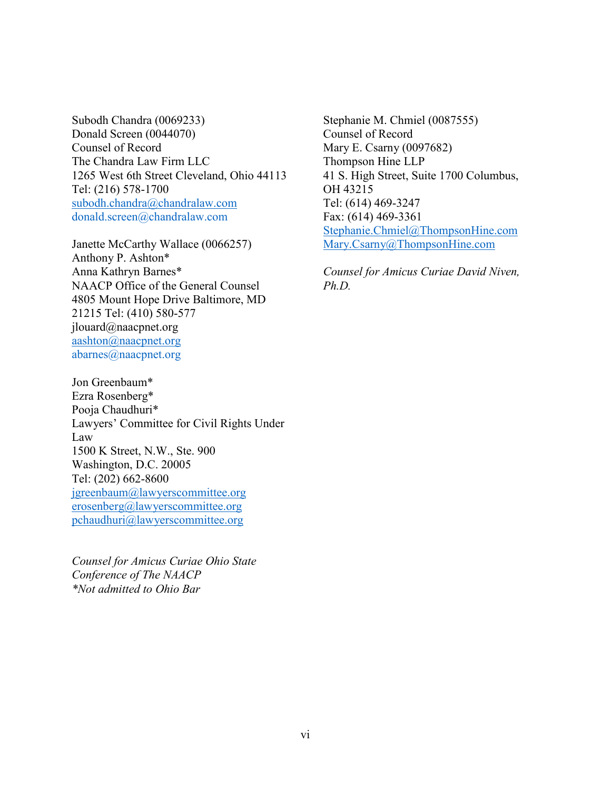Subodh Chandra (0069233) Donald Screen (0044070) Counsel of Record The Chandra Law Firm LLC 1265 West 6th Street Cleveland, Ohio 44113 Tel: (216) 578-1700 subodh.chandra@chandralaw.com [donald.screen@chandralaw.com](mailto:donald.screen@chandralaw.com)

Janette McCarthy Wallace (0066257) Anthony P. Ashton\* Anna Kathryn Barnes\* NAACP Office of the General Counsel 4805 Mount Hope Drive Baltimore, MD 21215 Tel: (410) 580-577 jlouard@naacpnet.org aashton@naacpnet.org [abarnes@naacpnet.org](mailto:abarnes@naacpnet.org)

Jon Greenbaum\* Ezra Rosenberg\* Pooja Chaudhuri\* Lawyers' Committee for Civil Rights Under Law 1500 K Street, N.W., Ste. 900 Washington, D.C. 20005 Tel: (202) 662-8600 jgreenbaum@lawyerscommittee.org erosenberg@lawyerscommittee.org pchaudhuri@lawyerscommittee.org

*Counsel for Amicus Curiae Ohio State Conference of The NAACP \*Not admitted to Ohio Bar*

Stephanie M. Chmiel (0087555) Counsel of Record Mary E. Csarny (0097682) Thompson Hine LLP 41 S. High Street, Suite 1700 Columbus, OH 43215 Tel: (614) 469-3247 Fax: (614) 469-3361 Stephanie.Chmiel@ThompsonHine.com Mary.Csarny@ThompsonHine.com

*Counsel for Amicus Curiae David Niven, Ph.D.*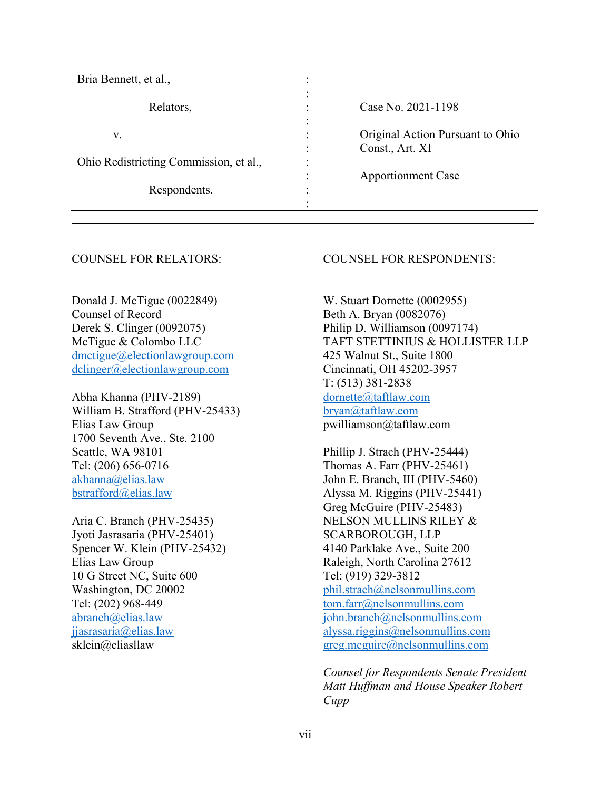| Bria Bennett, et al.,                  |                |                                  |
|----------------------------------------|----------------|----------------------------------|
|                                        | ٠              |                                  |
| Relators,                              | ٠              | Case No. 2021-1198               |
|                                        |                |                                  |
| V.                                     | $\bullet$      | Original Action Pursuant to Ohio |
|                                        | $\bullet$      | Const., Art. XI                  |
| Ohio Redistricting Commission, et al., | $\bullet$<br>٠ |                                  |
|                                        | ٠              | <b>Apportionment Case</b>        |
| Respondents.                           | ٠<br>۰         |                                  |
|                                        |                |                                  |

#### COUNSEL FOR RELATORS:

Donald J. McTigue (0022849) Counsel of Record Derek S. Clinger (0092075) McTigue & Colombo LLC [dmctigue@electionlawgroup.com](mailto:dmctigue@electionlawgroup.com) [dclinger@electionlawgroup.com](mailto:dclinger@electionlawgroup.com)

Abha Khanna (PHV-2189) William B. Strafford (PHV-25433) Elias Law Group 1700 Seventh Ave., Ste. 2100 Seattle, WA 98101 Tel: (206) 656-0716 [akhanna@elias.law](mailto:akhanna@elias.law) [bstrafford@elias.law](mailto:bstrafford@elias.law)

Aria C. Branch (PHV-25435) Jyoti Jasrasaria (PHV-25401) Spencer W. Klein (PHV-25432) Elias Law Group 10 G Street NC, Suite 600 Washington, DC 20002 Tel: (202) 968-449 [abranch@elias.law](mailto:abranch@elias.law) [jjasrasaria@elias.law](mailto:jjasrasaria@elias.law) sklein@eliasllaw

#### COUNSEL FOR RESPONDENTS:

W. Stuart Dornette (0002955) Beth A. Bryan (0082076) Philip D. Williamson (0097174) TAFT STETTINIUS & HOLLISTER LLP 425 Walnut St., Suite 1800 Cincinnati, OH 45202-3957 T: (513) 381-2838 dornette@taftlaw.com bryan@taftlaw.com pwilliamson@taftlaw.com

Phillip J. Strach (PHV-25444) Thomas A. Farr (PHV-25461) John E. Branch, III (PHV-5460) Alyssa M. Riggins (PHV-25441) Greg McGuire (PHV-25483) NELSON MULLINS RILEY & SCARBOROUGH, LLP 4140 Parklake Ave., Suite 200 Raleigh, North Carolina 27612 Tel: (919) 329-3812 [phil.strach@nelsonmullins.com](mailto:phil.strach@nelsonmullins.com) [tom.farr@nelsonmullins.com](mailto:tom.farr@nelsonmullins.com) [john.branch@nelsonmullins.com](mailto:john.branch@nelsonmullins.com) [alyssa.riggins@nelsonmullins.com](mailto:alyssa.riggins@nelsonmullins.com) [greg.mcguire@nelsonmullins.com](mailto:greg.mcguire@nelsonmullins.com)

*Counsel for Respondents Senate President Matt Huffman and House Speaker Robert Cupp*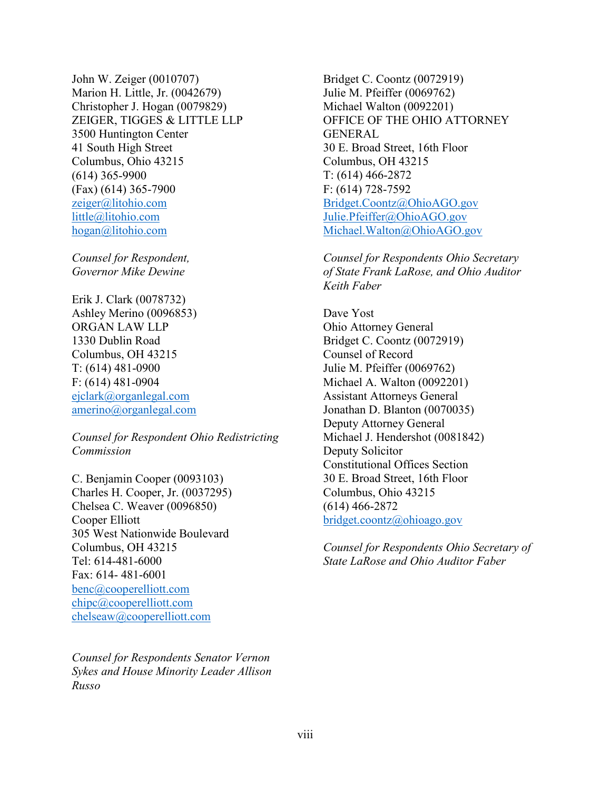John W. Zeiger (0010707) Marion H. Little, Jr. (0042679) Christopher J. Hogan (0079829) ZEIGER, TIGGES & LITTLE LLP 3500 Huntington Center 41 South High Street Columbus, Ohio 43215 (614) 365-9900 (Fax) (614) 365-7900 [zeiger@litohio.com](mailto:zeiger@litohio.com) [little@litohio.com](mailto:little@litohio.com) hogan@litohio.com

*Counsel for Respondent, Governor Mike Dewine*

Erik J. Clark (0078732) Ashley Merino (0096853) ORGAN LAW LLP 1330 Dublin Road Columbus, OH 43215 T: (614) 481-0900 F: (614) 481-0904 ejclark@organlegal.com amerino@organlegal.com

*Counsel for Respondent Ohio Redistricting Commission*

C. Benjamin Cooper (0093103) Charles H. Cooper, Jr. (0037295) Chelsea C. Weaver (0096850) Cooper Elliott 305 West Nationwide Boulevard Columbus, OH 43215 Tel: 614-481-6000 Fax: 614- 481-6001 benc@cooperelliott.com chipc@cooperelliott.com chelseaw@cooperelliott.com

*Counsel for Respondents Senator Vernon Sykes and House Minority Leader Allison Russo*

Bridget C. Coontz (0072919) Julie M. Pfeiffer (0069762) Michael Walton (0092201) OFFICE OF THE OHIO ATTORNEY GENERAL 30 E. Broad Street, 16th Floor Columbus, OH 43215 T: (614) 466-2872 F: (614) 728-7592 Bridget.Coontz@OhioAGO.gov Julie.Pfeiffer@OhioAGO.gov Michael.Walton@OhioAGO.gov

*Counsel for Respondents Ohio Secretary of State Frank LaRose, and Ohio Auditor Keith Faber*

Dave Yost Ohio Attorney General Bridget C. Coontz (0072919) Counsel of Record Julie M. Pfeiffer (0069762) Michael A. Walton (0092201) Assistant Attorneys General Jonathan D. Blanton (0070035) Deputy Attorney General Michael J. Hendershot (0081842) Deputy Solicitor Constitutional Offices Section 30 E. Broad Street, 16th Floor Columbus, Ohio 43215 (614) 466-2872 [bridget.coontz@ohioago.gov](mailto:bridget.coontz@ohioago.gov)

*Counsel for Respondents Ohio Secretary of State LaRose and Ohio Auditor Faber*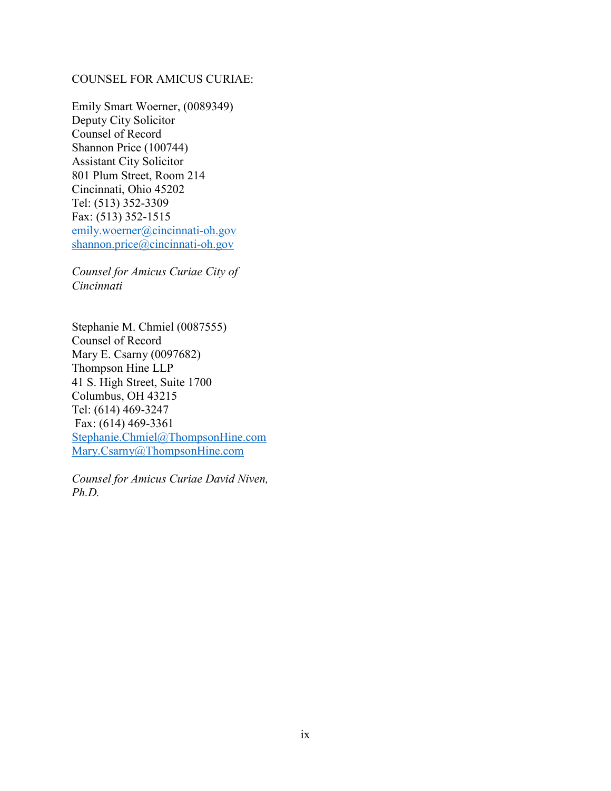# COUNSEL FOR AMICUS CURIAE:

Emily Smart Woerner, (0089349) Deputy City Solicitor Counsel of Record Shannon Price (100744) Assistant City Solicitor 801 Plum Street, Room 214 Cincinnati, Ohio 45202 Tel: (513) 352-3309 Fax: (513) 352-1515 emily.woerner@cincinnati-oh.gov shannon.price@cincinnati-oh.gov

*Counsel for Amicus Curiae City of Cincinnati*

Stephanie M. Chmiel (0087555) Counsel of Record Mary E. Csarny (0097682) Thompson Hine LLP 41 S. High Street, Suite 1700 Columbus, OH 43215 Tel: (614) 469-3247 Fax: (614) 469-3361 Stephanie.Chmiel@ThompsonHine.com Mary.Csarny@ThompsonHine.com

*Counsel for Amicus Curiae David Niven, Ph.D.*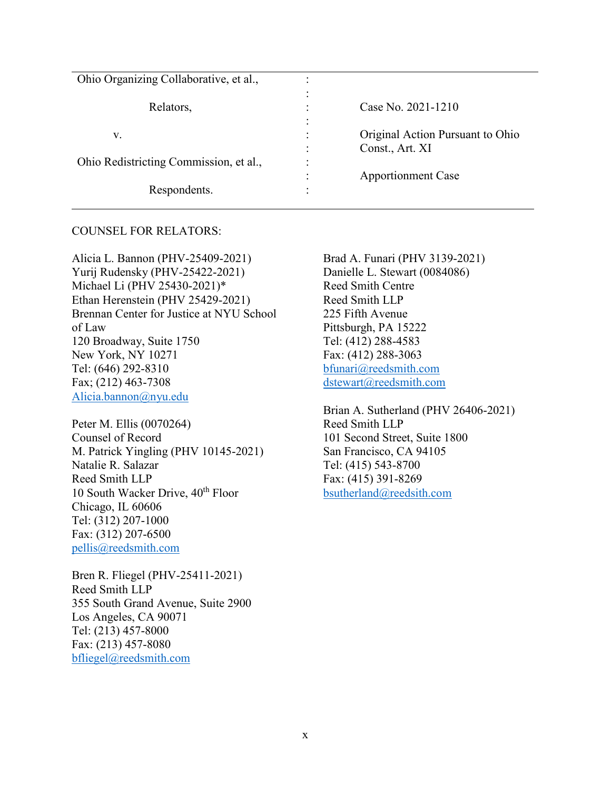| Ohio Organizing Collaborative, et al., |   |                                  |
|----------------------------------------|---|----------------------------------|
|                                        |   |                                  |
| Relators,                              |   | Case No. 2021-1210               |
|                                        |   |                                  |
| V.                                     |   | Original Action Pursuant to Ohio |
|                                        |   | Const., Art. XI                  |
| Ohio Redistricting Commission, et al., | ٠ |                                  |
|                                        |   | <b>Apportionment Case</b>        |
| Respondents.                           |   |                                  |

#### COUNSEL FOR RELATORS:

Alicia L. Bannon (PHV-25409-2021) Yurij Rudensky (PHV-25422-2021) Michael Li (PHV 25430-2021)\* Ethan Herenstein (PHV 25429-2021) Brennan Center for Justice at NYU School of Law 120 Broadway, Suite 1750 New York, NY 10271 Tel: (646) 292-8310 Fax; (212) 463-7308 [Alicia.bannon@nyu.edu](mailto:Alicia.bannon@nyu.edu)

Peter M. Ellis (0070264) Counsel of Record M. Patrick Yingling (PHV 10145-2021) Natalie R. Salazar Reed Smith LLP 10 South Wacker Drive, 40<sup>th</sup> Floor Chicago, IL 60606 Tel: (312) 207-1000 Fax: (312) 207-6500 [pellis@reedsmith.com](mailto:pellis@reedsmith.com)

Bren R. Fliegel (PHV-25411-2021) Reed Smith LLP 355 South Grand Avenue, Suite 2900 Los Angeles, CA 90071 Tel: (213) 457-8000 Fax: (213) 457-8080 [bfliegel@reedsmith.com](mailto:bfliegel@reedsmith.com)

Brad A. Funari (PHV 3139-2021) Danielle L. Stewart (0084086) Reed Smith Centre Reed Smith LLP 225 Fifth Avenue Pittsburgh, PA 15222 Tel: (412) 288-4583 Fax: (412) 288-3063 [bfunari@reedsmith.com](mailto:bfunari@reedsmith.com) [dstewart@reedsmith.com](mailto:dstewart@reedsmith.com)

Brian A. Sutherland (PHV 26406-2021) Reed Smith LLP 101 Second Street, Suite 1800 San Francisco, CA 94105 Tel: (415) 543-8700 Fax: (415) 391-8269 [bsutherland@reedsith.com](mailto:bsutherland@reedsith.com)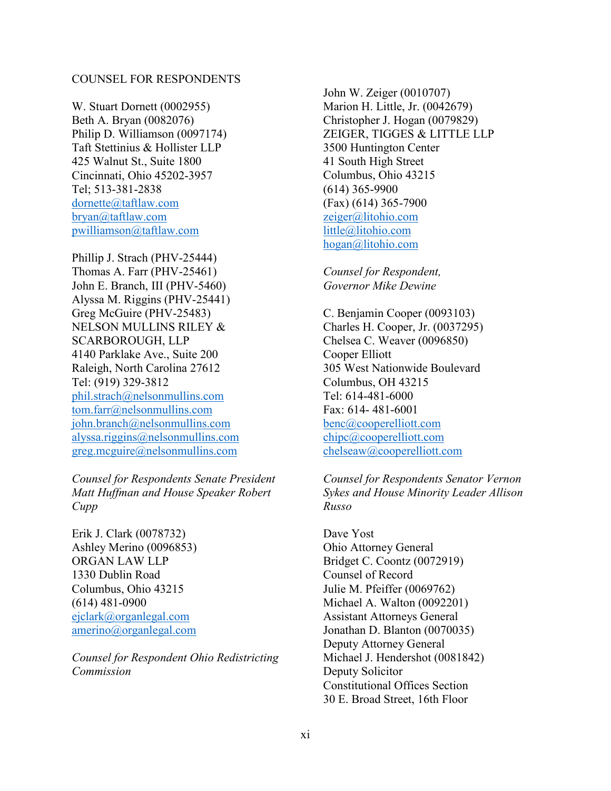#### COUNSEL FOR RESPONDENTS

W. Stuart Dornett (0002955) Beth A. Bryan (0082076) Philip D. Williamson (0097174) Taft Stettinius & Hollister LLP 425 Walnut St., Suite 1800 Cincinnati, Ohio 45202-3957 Tel; 513-381-2838 [dornette@taftlaw.com](mailto:dornette@taftlaw.com) [bryan@taftlaw.com](mailto:bryan@taftlaw.com) [pwilliamson@taftlaw.com](mailto:pwilliamson@taftlaw.com)

Phillip J. Strach (PHV-25444) Thomas A. Farr (PHV-25461) John E. Branch, III (PHV-5460) Alyssa M. Riggins (PHV-25441) Greg McGuire (PHV-25483) NELSON MULLINS RILEY & SCARBOROUGH, LLP 4140 Parklake Ave., Suite 200 Raleigh, North Carolina 27612 Tel: (919) 329-3812 [phil.strach@nelsonmullins.com](mailto:phil.strach@nelsonmullins.com) [tom.farr@nelsonmullins.com](mailto:tom.farr@nelsonmullins.com) [john.branch@nelsonmullins.com](mailto:john.branch@nelsonmullins.com) [alyssa.riggins@nelsonmullins.com](mailto:alyssa.riggins@nelsonmullins.com) [greg.mcguire@nelsonmullins.com](mailto:greg.mcguire@nelsonmullins.com)

*Counsel for Respondents Senate President Matt Huffman and House Speaker Robert Cupp*

Erik J. Clark (0078732) Ashley Merino (0096853) ORGAN LAW LLP 1330 Dublin Road Columbus, Ohio 43215 (614) 481-0900 [ejclark@organlegal.com](mailto:ejclark@organlegal.com) [amerino@organlegal.com](mailto:amerino@organlegal.com)

*Counsel for Respondent Ohio Redistricting Commission*

John W. Zeiger (0010707) Marion H. Little, Jr. (0042679) Christopher J. Hogan (0079829) ZEIGER, TIGGES & LITTLE LLP 3500 Huntington Center 41 South High Street Columbus, Ohio 43215 (614) 365-9900 (Fax) (614) 365-7900 [zeiger@litohio.com](mailto:zeiger@litohio.com) [little@litohio.com](mailto:little@litohio.com) hogan@litohio.com

*Counsel for Respondent, Governor Mike Dewine*

C. Benjamin Cooper (0093103) Charles H. Cooper, Jr. (0037295) Chelsea C. Weaver (0096850) Cooper Elliott 305 West Nationwide Boulevard Columbus, OH 43215 Tel: 614-481-6000 Fax: 614- 481-6001 benc@cooperelliott.com chipc@cooperelliott.com chelseaw@cooperelliott.com

*Counsel for Respondents Senator Vernon Sykes and House Minority Leader Allison Russo*

Dave Yost Ohio Attorney General Bridget C. Coontz (0072919) Counsel of Record Julie M. Pfeiffer (0069762) Michael A. Walton (0092201) Assistant Attorneys General Jonathan D. Blanton (0070035) Deputy Attorney General Michael J. Hendershot (0081842) Deputy Solicitor Constitutional Offices Section 30 E. Broad Street, 16th Floor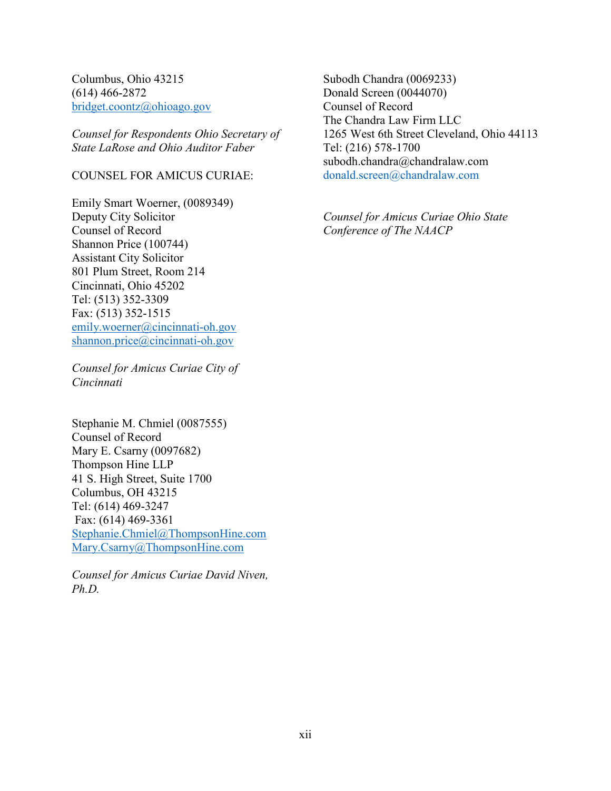Columbus, Ohio 43215 (614) 466-2872 [bridget.coontz@ohioago.gov](mailto:bridget.coontz@ohioago.gov)

*Counsel for Respondents Ohio Secretary of State LaRose and Ohio Auditor Faber*

# COUNSEL FOR AMICUS CURIAE:

Emily Smart Woerner, (0089349) Deputy City Solicitor Counsel of Record Shannon Price (100744) Assistant City Solicitor 801 Plum Street, Room 214 Cincinnati, Ohio 45202 Tel: (513) 352-3309 Fax: (513) 352-1515 emily.woerner@cincinnati-oh.gov shannon.price@cincinnati-oh.gov

*Counsel for Amicus Curiae City of Cincinnati*

Stephanie M. Chmiel (0087555) Counsel of Record Mary E. Csarny (0097682) Thompson Hine LLP 41 S. High Street, Suite 1700 Columbus, OH 43215 Tel: (614) 469-3247 Fax: (614) 469-3361 Stephanie.Chmiel@ThompsonHine.com Mary.Csarny@ThompsonHine.com

*Counsel for Amicus Curiae David Niven, Ph.D.*

Subodh Chandra (0069233) Donald Screen (0044070) Counsel of Record The Chandra Law Firm LLC 1265 West 6th Street Cleveland, Ohio 44113 Tel: (216) 578-1700 subodh.chandra@chandralaw.com [donald.screen@chandralaw.com](mailto:donald.screen@chandralaw.com)

*Counsel for Amicus Curiae Ohio State Conference of The NAACP*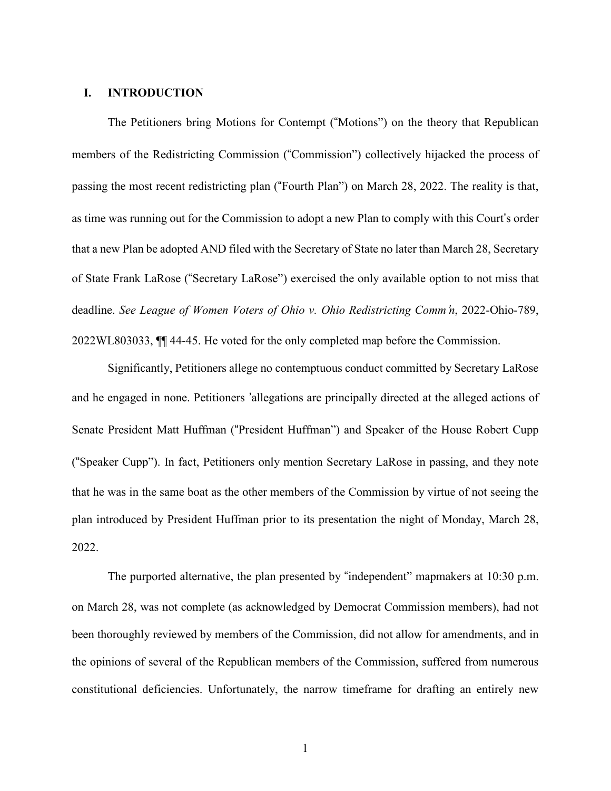#### **I. INTRODUCTION**

The Petitioners bring Motions for Contempt ("Motions") on the theory that Republican members of the Redistricting Commission ("Commission") collectively hijacked the process of passing the most recent redistricting plan ("Fourth Plan") on March 28, 2022. The reality is that, as time was running out for the Commission to adopt a new Plan to comply with this Court's order that a new Plan be adopted AND filed with the Secretary of State no later than March 28, Secretary of State Frank LaRose ("Secretary LaRose") exercised the only available option to not miss that deadline. *See League of Women Voters of Ohio v. Ohio Redistricting Comm*'*n*, 2022-Ohio-789, 2022WL803033, ¶¶ 44-45. He voted for the only completed map before the Commission.

Significantly, Petitioners allege no contemptuous conduct committed by Secretary LaRose and he engaged in none. Petitioners 'allegations are principally directed at the alleged actions of Senate President Matt Huffman ("President Huffman") and Speaker of the House Robert Cupp ("Speaker Cupp"). In fact, Petitioners only mention Secretary LaRose in passing, and they note that he was in the same boat as the other members of the Commission by virtue of not seeing the plan introduced by President Huffman prior to its presentation the night of Monday, March 28, 2022.

The purported alternative, the plan presented by "independent" mapmakers at 10:30 p.m. on March 28, was not complete (as acknowledged by Democrat Commission members), had not been thoroughly reviewed by members of the Commission, did not allow for amendments, and in the opinions of several of the Republican members of the Commission, suffered from numerous constitutional deficiencies. Unfortunately, the narrow timeframe for drafting an entirely new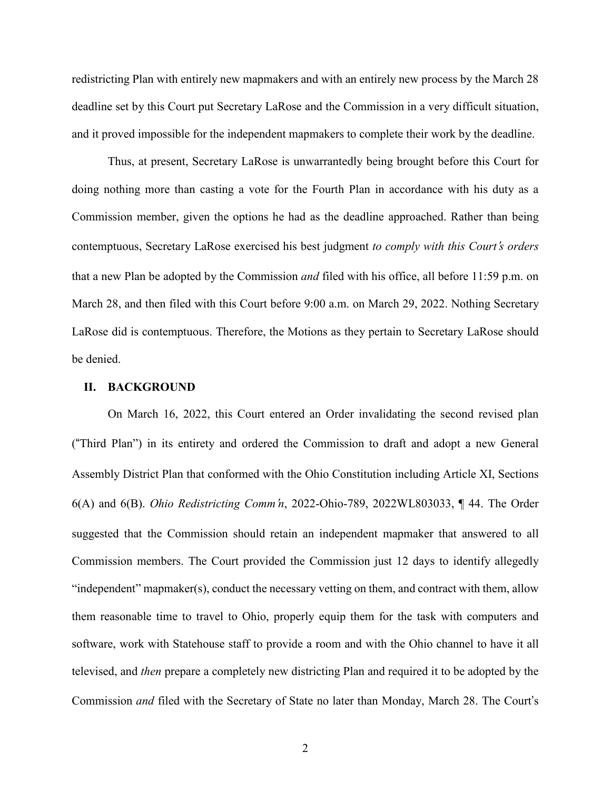redistricting Plan with entirely new mapmakers and with an entirely new process by the March 28 deadline set by this Court put Secretary LaRose and the Commission in a very difficult situation, and it proved impossible for the independent mapmakers to complete their work by the deadline.

Thus, at present, Secretary LaRose is unwarrantedly being brought before this Court for doing nothing more than casting a vote for the Fourth Plan in accordance with his duty as a Commission member, given the options he had as the deadline approached. Rather than being contemptuous, Secretary LaRose exercised his best judgment *to comply with this Court*'*s orders* that a new Plan be adopted by the Commission *and* filed with his office, all before 11:59 p.m. on March 28, and then filed with this Court before 9:00 a.m. on March 29, 2022. Nothing Secretary LaRose did is contemptuous. Therefore, the Motions as they pertain to Secretary LaRose should be denied.

# **II. BACKGROUND**

On March 16, 2022, this Court entered an Order invalidating the second revised plan ("Third Plan") in its entirety and ordered the Commission to draft and adopt a new General Assembly District Plan that conformed with the Ohio Constitution including Article XI, Sections 6(A) and 6(B). *Ohio Redistricting Comm*'*n*, 2022-Ohio-789, 2022WL803033, ¶ 44. The Order suggested that the Commission should retain an independent mapmaker that answered to all Commission members. The Court provided the Commission just 12 days to identify allegedly "independent" mapmaker(s), conduct the necessary vetting on them, and contract with them, allow them reasonable time to travel to Ohio, properly equip them for the task with computers and software, work with Statehouse staff to provide a room and with the Ohio channel to have it all televised, and *then* prepare a completely new districting Plan and required it to be adopted by the Commission *and* filed with the Secretary of State no later than Monday, March 28. The Court's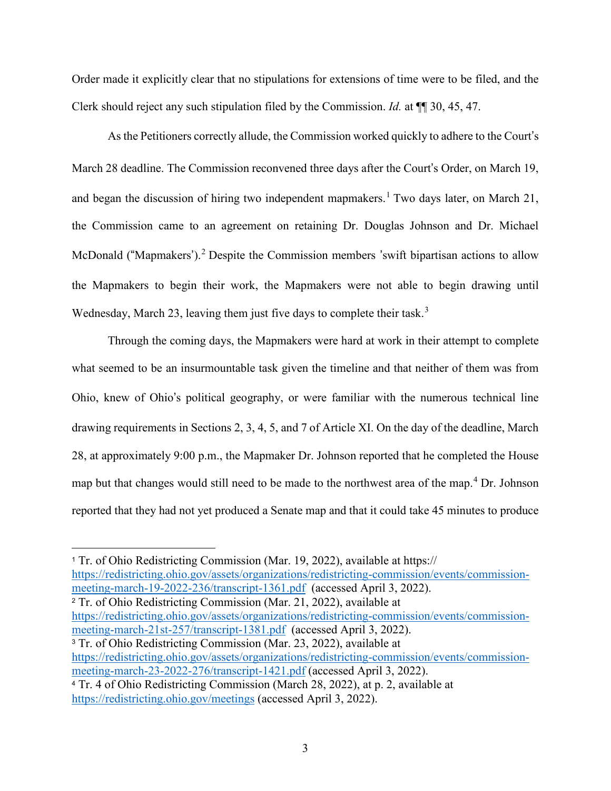Order made it explicitly clear that no stipulations for extensions of time were to be filed, and the Clerk should reject any such stipulation filed by the Commission. *Id.* at ¶¶ 30, 45, 47.

As the Petitioners correctly allude, the Commission worked quickly to adhere to the Court's March 28 deadline. The Commission reconvened three days after the Court's Order, on March 19, and began the discussion of hiring two independent mapmakers.<sup>[1](#page-14-0)</sup> Two days later, on March 21, the Commission came to an agreement on retaining Dr. Douglas Johnson and Dr. Michael McDonald ("Mapmakers').<sup>2</sup> Despite the Commission members 'swift bipartisan actions to allow the Mapmakers to begin their work, the Mapmakers were not able to begin drawing until Wednesday, March 23, leaving them just five days to complete their task.<sup>3</sup>

Through the coming days, the Mapmakers were hard at work in their attempt to complete what seemed to be an insurmountable task given the timeline and that neither of them was from Ohio, knew of Ohio's political geography, or were familiar with the numerous technical line drawing requirements in Sections 2, 3, 4, 5, and 7 of Article XI. On the day of the deadline, March 28, at approximately 9:00 p.m., the Mapmaker Dr. Johnson reported that he completed the House map but that changes would still need to be made to the northwest area of the map.<sup>[4](#page-14-1)</sup> Dr. Johnson reported that they had not yet produced a Senate map and that it could take 45 minutes to produce

<span id="page-14-0"></span><sup>1</sup> Tr. of Ohio Redistricting Commission (Mar. 19, 2022), available at https:// [https://redistricting.ohio.gov/assets/organizations/redistricting-commission/events/commission](https://redistricting.ohio.gov/assets/organizations/redistricting-commission/events/commission-meeting-march-19-2022-236/transcript-1361.pdf)[meeting-march-19-2022-236/transcript-1361.pdf](https://redistricting.ohio.gov/assets/organizations/redistricting-commission/events/commission-meeting-march-19-2022-236/transcript-1361.pdf) (accessed April 3, 2022). <sup>2</sup> Tr. of Ohio Redistricting Commission (Mar. 21, 2022), available at

 $\overline{a}$ 

[https://redistricting.ohio.gov/assets/organizations/redistricting-commission/events/commission](https://redistricting.ohio.gov/assets/organizations/redistricting-commission/events/commission-meeting-march-21st-257/transcript-1381.pdf)[meeting-march-21st-257/transcript-1381.pdf](https://redistricting.ohio.gov/assets/organizations/redistricting-commission/events/commission-meeting-march-21st-257/transcript-1381.pdf) (accessed April 3, 2022).

<span id="page-14-1"></span><sup>3</sup> Tr. of Ohio Redistricting Commission (Mar. 23, 2022), available at [https://redistricting.ohio.gov/assets/organizations/redistricting-commission/events/commission](https://redistricting.ohio.gov/assets/organizations/redistricting-commission/events/commission-meeting-march-23-2022-276/transcript-1421.pdf)[meeting-march-23-2022-276/transcript-1421.pdf](https://redistricting.ohio.gov/assets/organizations/redistricting-commission/events/commission-meeting-march-23-2022-276/transcript-1421.pdf) (accessed April 3, 2022). <sup>4</sup> Tr. 4 of Ohio Redistricting Commission (March 28, 2022), at p. 2, available at <https://redistricting.ohio.gov/meetings> (accessed April 3, 2022).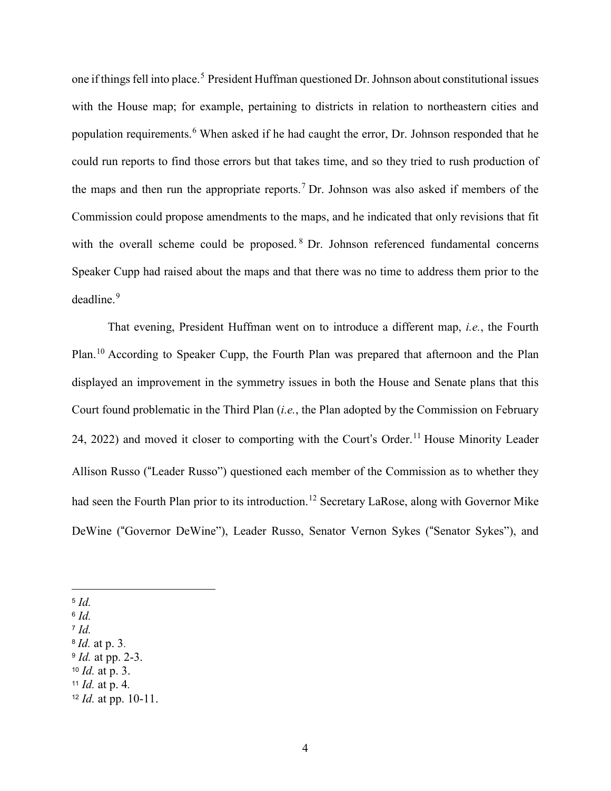one if things fell into place.<sup>[5](#page-15-0)</sup> President Huffman questioned Dr. Johnson about constitutional issues with the House map; for example, pertaining to districts in relation to northeastern cities and population requirements.[6](#page-15-1) When asked if he had caught the error, Dr. Johnson responded that he could run reports to find those errors but that takes time, and so they tried to rush production of the maps and then run the appropriate reports.<sup>[7](#page-15-2)</sup> Dr. Johnson was also asked if members of the Commission could propose amendments to the maps, and he indicated that only revisions that fit with the overall scheme could be proposed. <sup>[8](#page-15-3)</sup> Dr. Johnson referenced fundamental concerns Speaker Cupp had raised about the maps and that there was no time to address them prior to the deadline.<sup>[9](#page-15-4)</sup>

That evening, President Huffman went on to introduce a different map, *i.e.*, the Fourth Plan.[10](#page-15-5) According to Speaker Cupp, the Fourth Plan was prepared that afternoon and the Plan displayed an improvement in the symmetry issues in both the House and Senate plans that this Court found problematic in the Third Plan (*i.e.*, the Plan adopted by the Commission on February 24, 2022) and moved it closer to comporting with the Court's Order.<sup>[11](#page-15-6)</sup> House Minority Leader Allison Russo ("Leader Russo") questioned each member of the Commission as to whether they had seen the Fourth Plan prior to its introduction.<sup>[12](#page-15-7)</sup> Secretary LaRose, along with Governor Mike DeWine ("Governor DeWine"), Leader Russo, Senator Vernon Sykes ("Senator Sykes"), and

 $\overline{a}$ 

- <span id="page-15-1"></span><sup>6</sup> *Id.*
- <span id="page-15-2"></span><sup>7</sup> *Id.*

- <span id="page-15-4"></span><sup>9</sup> *Id.* at pp. 2-3.
- <span id="page-15-5"></span><sup>10</sup> *Id.* at p. 3.

<span id="page-15-0"></span><sup>5</sup> *Id.*

<span id="page-15-3"></span><sup>8</sup> *Id.* at p. 3.

<span id="page-15-7"></span><span id="page-15-6"></span><sup>11</sup> *Id.* at p. 4*.* <sup>12</sup> *Id.* at pp. 10-11.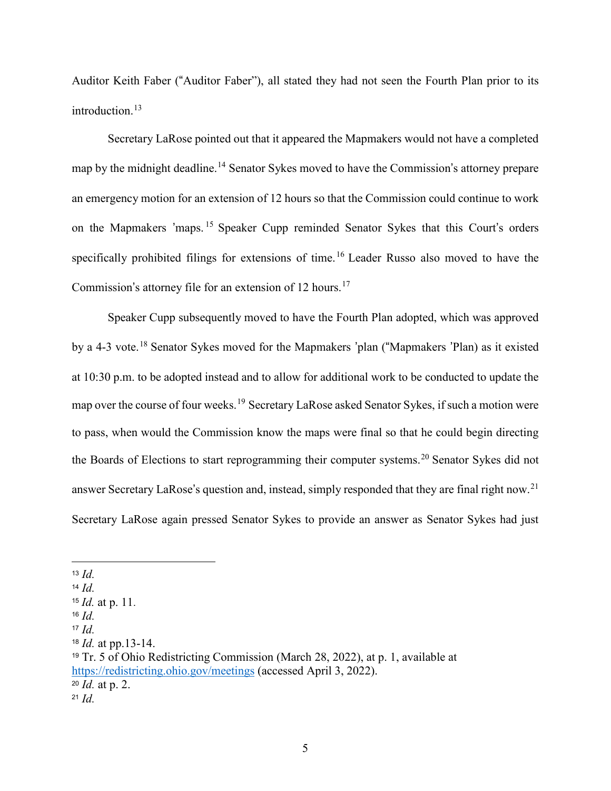Auditor Keith Faber ("Auditor Faber"), all stated they had not seen the Fourth Plan prior to its introduction.<sup>13</sup>

Secretary LaRose pointed out that it appeared the Mapmakers would not have a completed map by the midnight deadline.<sup>[14](#page-16-0)</sup> Senator Sykes moved to have the Commission's attorney prepare an emergency motion for an extension of 12 hours so that the Commission could continue to work on the Mapmakers 'maps. [15](#page-16-1) Speaker Cupp reminded Senator Sykes that this Court's orders specifically prohibited filings for extensions of time.[16](#page-16-2) Leader Russo also moved to have the Commission's attorney file for an extension of 12 hours.<sup>[17](#page-16-3)</sup>

Speaker Cupp subsequently moved to have the Fourth Plan adopted, which was approved by a 4-3 vote.[18](#page-16-4) Senator Sykes moved for the Mapmakers 'plan ("Mapmakers 'Plan) as it existed at 10:30 p.m. to be adopted instead and to allow for additional work to be conducted to update the map over the course of four weeks.<sup>[19](#page-16-5)</sup> Secretary LaRose asked Senator Sykes, if such a motion were to pass, when would the Commission know the maps were final so that he could begin directing the Boards of Elections to start reprogramming their computer systems.<sup>[20](#page-16-6)</sup> Senator Sykes did not answer Secretary LaRose's question and, instead, simply responded that they are final right now.<sup>[21](#page-16-7)</sup> Secretary LaRose again pressed Senator Sykes to provide an answer as Senator Sykes had just

 $\overline{a}$ <sup>13</sup> *Id.*

<span id="page-16-0"></span><sup>14</sup> *Id.*

<span id="page-16-1"></span><sup>15</sup> *Id.* at p. 11.

<span id="page-16-2"></span><sup>16</sup> *Id.*

<span id="page-16-3"></span><sup>17</sup> *Id.*

<span id="page-16-4"></span><sup>18</sup> *Id.* at pp.13-14.

<span id="page-16-5"></span><sup>19</sup> Tr. 5 of Ohio Redistricting Commission (March 28, 2022), at p. 1, available at <https://redistricting.ohio.gov/meetings> (accessed April 3, 2022). <sup>20</sup> *Id.* at p. 2.

<span id="page-16-7"></span><span id="page-16-6"></span><sup>21</sup> *Id.*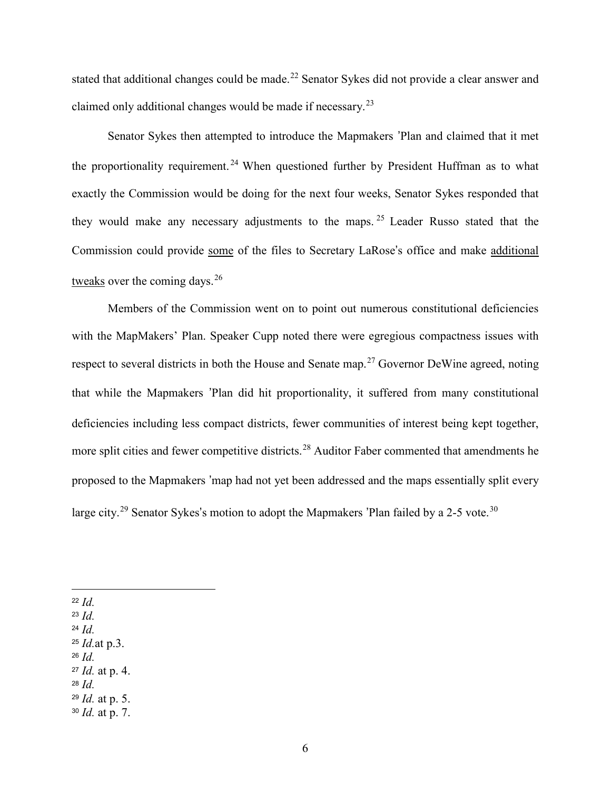stated that additional changes could be made.<sup>[22](#page-17-0)</sup> Senator Sykes did not provide a clear answer and claimed only additional changes would be made if necessary.<sup>[23](#page-17-1)</sup>

Senator Sykes then attempted to introduce the Mapmakers 'Plan and claimed that it met the proportionality requirement.<sup>[24](#page-17-2)</sup> When questioned further by President Huffman as to what exactly the Commission would be doing for the next four weeks, Senator Sykes responded that they would make any necessary adjustments to the maps. [25](#page-17-3) Leader Russo stated that the Commission could provide some of the files to Secretary LaRose's office and make additional tweaks over the coming days.  $26$ 

Members of the Commission went on to point out numerous constitutional deficiencies with the MapMakers' Plan. Speaker Cupp noted there were egregious compactness issues with respect to several districts in both the House and Senate map.<sup>[27](#page-17-5)</sup> Governor DeWine agreed, noting that while the Mapmakers 'Plan did hit proportionality, it suffered from many constitutional deficiencies including less compact districts, fewer communities of interest being kept together, more split cities and fewer competitive districts.<sup>[28](#page-17-6)</sup> Auditor Faber commented that amendments he proposed to the Mapmakers 'map had not yet been addressed and the maps essentially split every large city.<sup>[29](#page-17-7)</sup> Senator Sykes's motion to adopt the Mapmakers 'Plan failed by a 2-5 vote.<sup>[30](#page-17-8)</sup>

<span id="page-17-0"></span><sup>22</sup> *Id.*

 $\overline{a}$ 

- <span id="page-17-1"></span><sup>23</sup> *Id.*
- <span id="page-17-2"></span><sup>24</sup> *Id.*
- <span id="page-17-4"></span><span id="page-17-3"></span><sup>25</sup> *Id.*at p.3. <sup>26</sup> *Id.*
- <span id="page-17-5"></span><sup>27</sup> *Id.* at p. 4.
- <span id="page-17-6"></span><sup>28</sup> *Id.*
- <span id="page-17-7"></span><sup>29</sup> *Id.* at p. 5.
- <span id="page-17-8"></span><sup>30</sup> *Id.* at p. 7.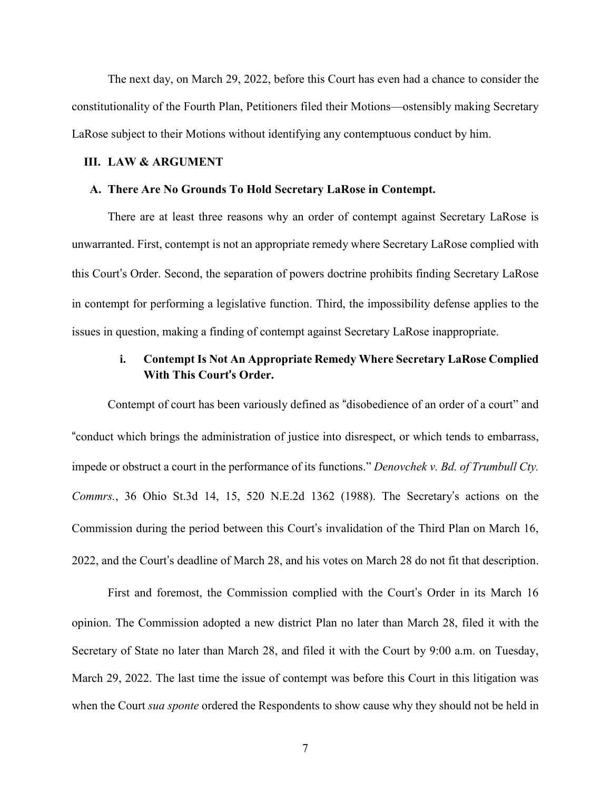The next day, on March 29, 2022, before this Court has even had a chance to consider the constitutionality of the Fourth Plan, Petitioners filed their Motions—ostensibly making Secretary LaRose subject to their Motions without identifying any contemptuous conduct by him.

#### **III. LAW & ARGUMENT**

#### **A. There Are No Grounds To Hold Secretary LaRose in Contempt.**

There are at least three reasons why an order of contempt against Secretary LaRose is unwarranted. First, contempt is not an appropriate remedy where Secretary LaRose complied with this Court's Order. Second, the separation of powers doctrine prohibits finding Secretary LaRose in contempt for performing a legislative function. Third, the impossibility defense applies to the issues in question, making a finding of contempt against Secretary LaRose inappropriate.

# **i. Contempt Is Not An Appropriate Remedy Where Secretary LaRose Complied With This Court**'**s Order.**

Contempt of court has been variously defined as "disobedience of an order of a court" and "conduct which brings the administration of justice into disrespect, or which tends to embarrass, impede or obstruct a court in the performance of its functions." *Denovchek v. Bd. of Trumbull Cty. Commrs.*, 36 Ohio St.3d 14, 15, 520 N.E.2d 1362 (1988). The Secretary's actions on the Commission during the period between this Court's invalidation of the Third Plan on March 16, 2022, and the Court's deadline of March 28, and his votes on March 28 do not fit that description.

First and foremost, the Commission complied with the Court's Order in its March 16 opinion. The Commission adopted a new district Plan no later than March 28, filed it with the Secretary of State no later than March 28, and filed it with the Court by 9:00 a.m. on Tuesday, March 29, 2022. The last time the issue of contempt was before this Court in this litigation was when the Court *sua sponte* ordered the Respondents to show cause why they should not be held in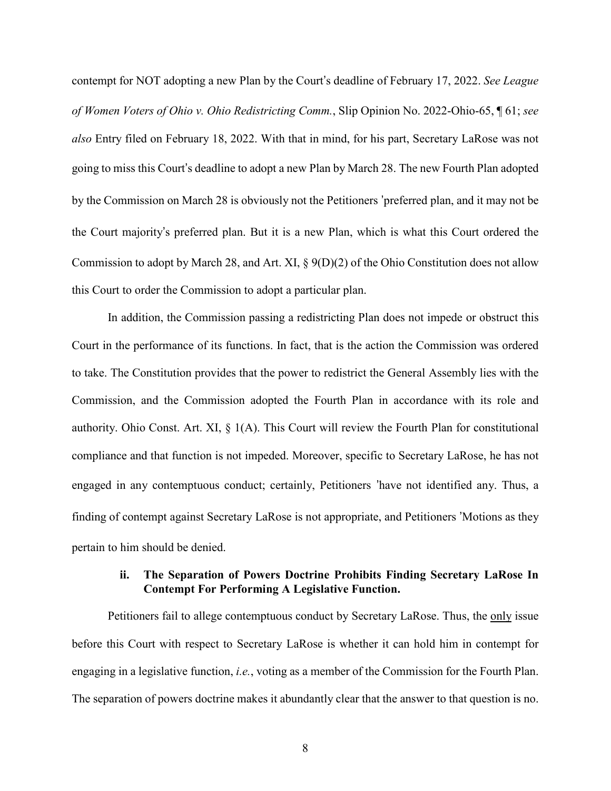contempt for NOT adopting a new Plan by the Court's deadline of February 17, 2022. *See League of Women Voters of Ohio v. Ohio Redistricting Comm.*, Slip Opinion No. 2022-Ohio-65, ¶ 61; *see also* Entry filed on February 18, 2022. With that in mind, for his part, Secretary LaRose was not going to miss this Court's deadline to adopt a new Plan by March 28. The new Fourth Plan adopted by the Commission on March 28 is obviously not the Petitioners 'preferred plan, and it may not be the Court majority's preferred plan. But it is a new Plan, which is what this Court ordered the Commission to adopt by March 28, and Art. XI, § 9(D)(2) of the Ohio Constitution does not allow this Court to order the Commission to adopt a particular plan.

In addition, the Commission passing a redistricting Plan does not impede or obstruct this Court in the performance of its functions. In fact, that is the action the Commission was ordered to take. The Constitution provides that the power to redistrict the General Assembly lies with the Commission, and the Commission adopted the Fourth Plan in accordance with its role and authority. Ohio Const. Art. XI, § 1(A). This Court will review the Fourth Plan for constitutional compliance and that function is not impeded. Moreover, specific to Secretary LaRose, he has not engaged in any contemptuous conduct; certainly, Petitioners 'have not identified any. Thus, a finding of contempt against Secretary LaRose is not appropriate, and Petitioners 'Motions as they pertain to him should be denied.

# **ii. The Separation of Powers Doctrine Prohibits Finding Secretary LaRose In Contempt For Performing A Legislative Function.**

Petitioners fail to allege contemptuous conduct by Secretary LaRose. Thus, the only issue before this Court with respect to Secretary LaRose is whether it can hold him in contempt for engaging in a legislative function, *i.e.*, voting as a member of the Commission for the Fourth Plan. The separation of powers doctrine makes it abundantly clear that the answer to that question is no.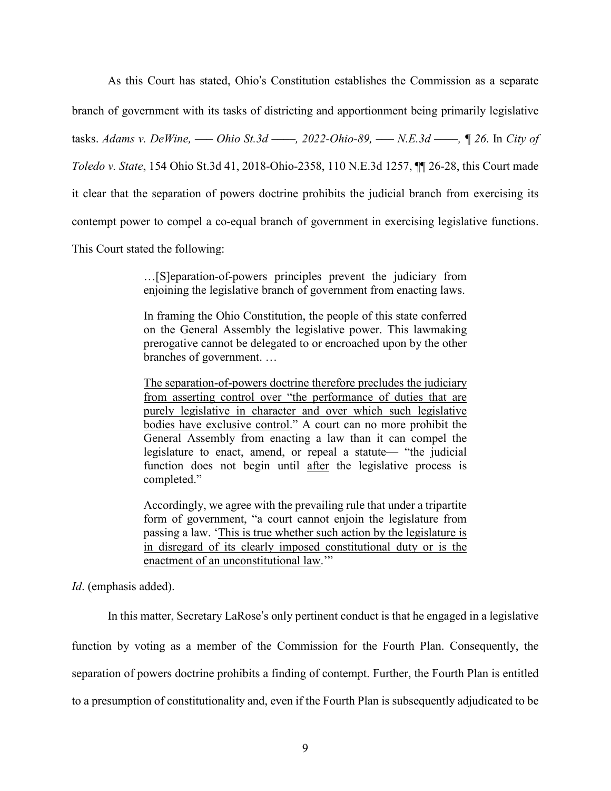As this Court has stated, Ohio's Constitution establishes the Commission as a separate branch of government with its tasks of districting and apportionment being primarily legislative tasks. *Adams v. DeWine, ––– Ohio St.3d ––––, 2022-Ohio-89, ––– N.E.3d ––––, ¶ 26*. In *City of Toledo v. State*, 154 Ohio St.3d 41, 2018-Ohio-2358, 110 N.E.3d 1257, ¶¶ 26-28, this Court made it clear that the separation of powers doctrine prohibits the judicial branch from exercising its contempt power to compel a co-equal branch of government in exercising legislative functions. This Court stated the following:

> …[S]eparation-of-powers principles prevent the judiciary from enjoining the legislative branch of government from enacting laws.

> In framing the Ohio Constitution, the people of this state conferred on the General Assembly the legislative power. This lawmaking prerogative cannot be delegated to or encroached upon by the other branches of government. …

> The separation-of-powers doctrine therefore precludes the judiciary from asserting control over "the performance of duties that are purely legislative in character and over which such legislative bodies have exclusive control." A court can no more prohibit the General Assembly from enacting a law than it can compel the legislature to enact, amend, or repeal a statute— "the judicial function does not begin until after the legislative process is completed."

> Accordingly, we agree with the prevailing rule that under a tripartite form of government, "a court cannot enjoin the legislature from passing a law. 'This is true whether such action by the legislature is in disregard of its clearly imposed constitutional duty or is the enactment of an unconstitutional law.""

*Id*. (emphasis added).

In this matter, Secretary LaRose's only pertinent conduct is that he engaged in a legislative

function by voting as a member of the Commission for the Fourth Plan. Consequently, the separation of powers doctrine prohibits a finding of contempt. Further, the Fourth Plan is entitled to a presumption of constitutionality and, even if the Fourth Plan is subsequently adjudicated to be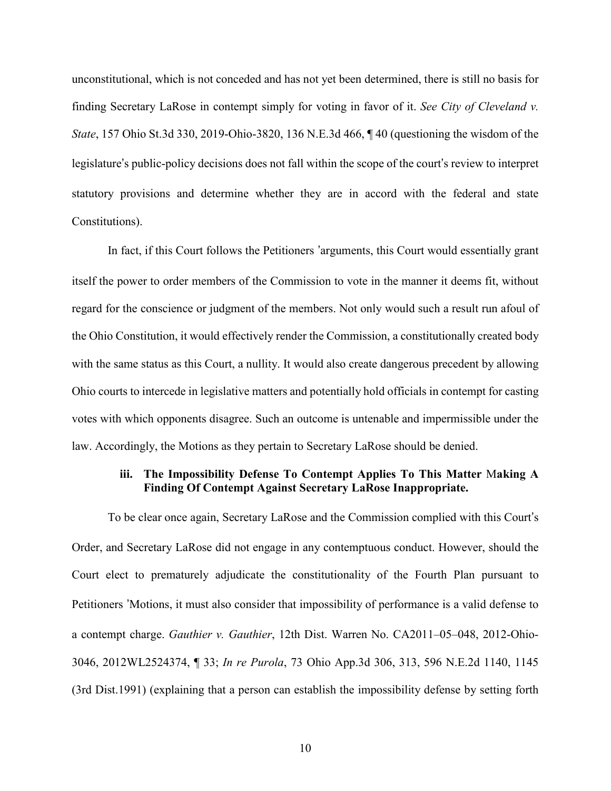unconstitutional, which is not conceded and has not yet been determined, there is still no basis for finding Secretary LaRose in contempt simply for voting in favor of it. *See City of Cleveland v. State*, 157 Ohio St.3d 330, 2019-Ohio-3820, 136 N.E.3d 466, ¶ 40 (questioning the wisdom of the legislature's public-policy decisions does not fall within the scope of the court's review to interpret statutory provisions and determine whether they are in accord with the federal and state Constitutions).

In fact, if this Court follows the Petitioners 'arguments, this Court would essentially grant itself the power to order members of the Commission to vote in the manner it deems fit, without regard for the conscience or judgment of the members. Not only would such a result run afoul of the Ohio Constitution, it would effectively render the Commission, a constitutionally created body with the same status as this Court, a nullity. It would also create dangerous precedent by allowing Ohio courts to intercede in legislative matters and potentially hold officials in contempt for casting votes with which opponents disagree. Such an outcome is untenable and impermissible under the law. Accordingly, the Motions as they pertain to Secretary LaRose should be denied.

# **iii. The Impossibility Defense To Contempt Applies To This Matter** M**aking A Finding Of Contempt Against Secretary LaRose Inappropriate.**

To be clear once again, Secretary LaRose and the Commission complied with this Court's Order, and Secretary LaRose did not engage in any contemptuous conduct. However, should the Court elect to prematurely adjudicate the constitutionality of the Fourth Plan pursuant to Petitioners 'Motions, it must also consider that impossibility of performance is a valid defense to a contempt charge. *Gauthier v. Gauthier*, 12th Dist. Warren No. CA2011–05–048, 2012-Ohio-3046, 2012WL2524374, ¶ 33; *In re Purola*, 73 Ohio App.3d 306, 313, 596 N.E.2d 1140, 1145 (3rd Dist.1991) (explaining that a person can establish the impossibility defense by setting forth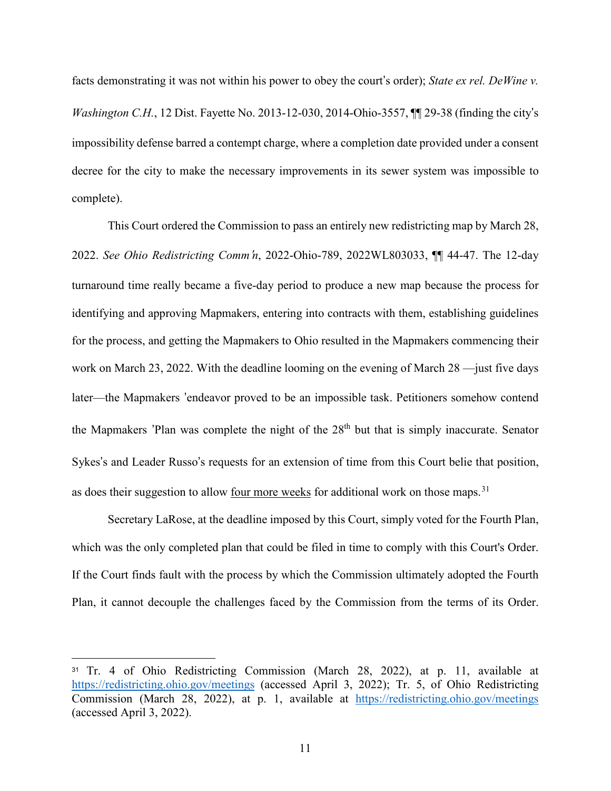facts demonstrating it was not within his power to obey the court's order); *State ex rel. DeWine v. Washington C.H.*, 12 Dist. Fayette No. 2013-12-030, 2014-Ohio-3557, ¶¶ 29-38 (finding the city's impossibility defense barred a contempt charge, where a completion date provided under a consent decree for the city to make the necessary improvements in its sewer system was impossible to complete).

This Court ordered the Commission to pass an entirely new redistricting map by March 28, 2022. *See Ohio Redistricting Comm*'*n*, 2022-Ohio-789, 2022WL803033, ¶¶ 44-47. The 12-day turnaround time really became a five-day period to produce a new map because the process for identifying and approving Mapmakers, entering into contracts with them, establishing guidelines for the process, and getting the Mapmakers to Ohio resulted in the Mapmakers commencing their work on March 23, 2022. With the deadline looming on the evening of March 28 —just five days later—the Mapmakers 'endeavor proved to be an impossible task. Petitioners somehow contend the Mapmakers 'Plan was complete the night of the  $28<sup>th</sup>$  but that is simply inaccurate. Senator Sykes's and Leader Russo's requests for an extension of time from this Court belie that position, as does their suggestion to allow four more weeks for additional work on those maps.<sup>[31](#page-22-0)</sup>

Secretary LaRose, at the deadline imposed by this Court, simply voted for the Fourth Plan, which was the only completed plan that could be filed in time to comply with this Court's Order. If the Court finds fault with the process by which the Commission ultimately adopted the Fourth Plan, it cannot decouple the challenges faced by the Commission from the terms of its Order.

 $\overline{a}$ 

<span id="page-22-0"></span><sup>31</sup> Tr. 4 of Ohio Redistricting Commission (March 28, 2022), at p. 11, available at <https://redistricting.ohio.gov/meetings> (accessed April 3, 2022); Tr. 5, of Ohio Redistricting Commission (March 28, 2022), at p. 1, available at <https://redistricting.ohio.gov/meetings> (accessed April 3, 2022).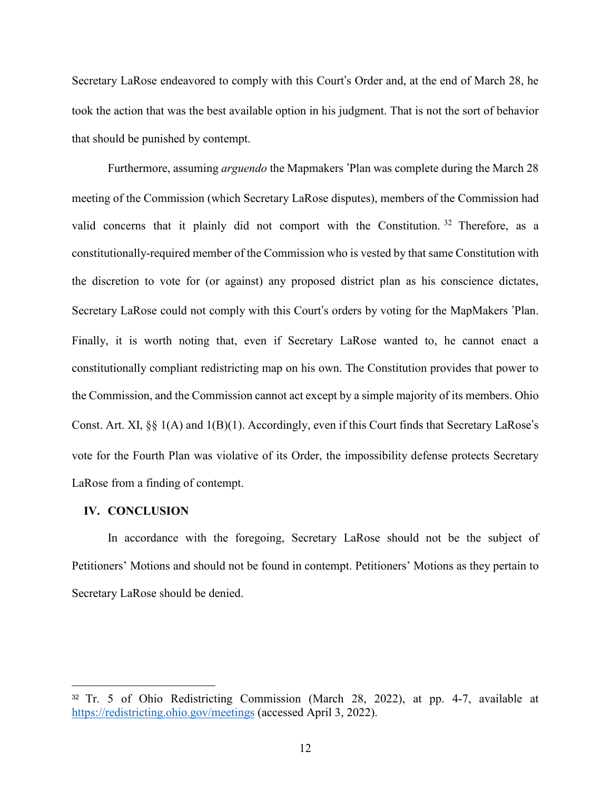Secretary LaRose endeavored to comply with this Court's Order and, at the end of March 28, he took the action that was the best available option in his judgment. That is not the sort of behavior that should be punished by contempt.

Furthermore, assuming *arguendo* the Mapmakers 'Plan was complete during the March 28 meeting of the Commission (which Secretary LaRose disputes), members of the Commission had valid concerns that it plainly did not comport with the Constitution.<sup>[32](#page-23-0)</sup> Therefore, as a constitutionally-required member of the Commission who is vested by that same Constitution with the discretion to vote for (or against) any proposed district plan as his conscience dictates, Secretary LaRose could not comply with this Court's orders by voting for the MapMakers 'Plan. Finally, it is worth noting that, even if Secretary LaRose wanted to, he cannot enact a constitutionally compliant redistricting map on his own. The Constitution provides that power to the Commission, and the Commission cannot act except by a simple majority of its members. Ohio Const. Art. XI, §§ 1(A) and 1(B)(1). Accordingly, even if this Court finds that Secretary LaRose's vote for the Fourth Plan was violative of its Order, the impossibility defense protects Secretary LaRose from a finding of contempt.

# **IV. CONCLUSION**

 $\overline{a}$ 

In accordance with the foregoing, Secretary LaRose should not be the subject of Petitioners' Motions and should not be found in contempt. Petitioners' Motions as they pertain to Secretary LaRose should be denied.

<span id="page-23-0"></span><sup>32</sup> Tr. 5 of Ohio Redistricting Commission (March 28, 2022), at pp. 4-7, available at <https://redistricting.ohio.gov/meetings> (accessed April 3, 2022).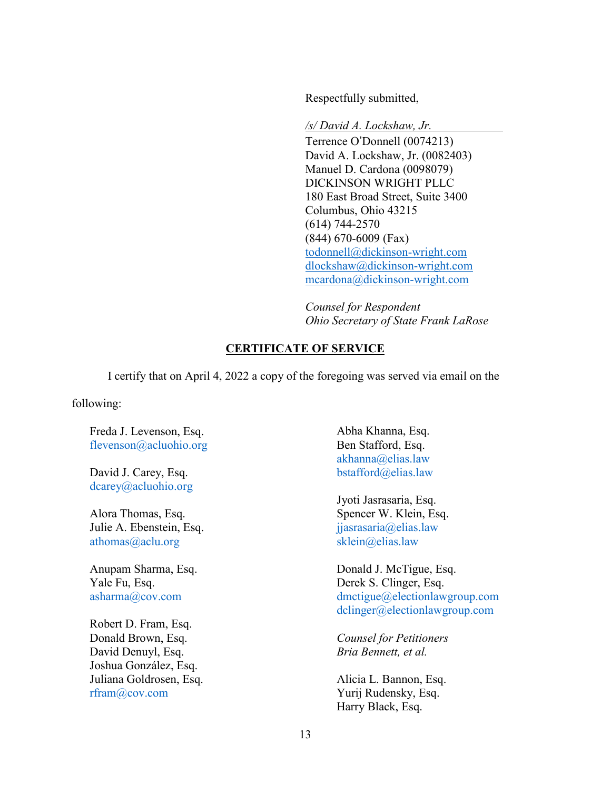Respectfully submitted,

*/s/ David A. Lockshaw, Jr.* Terrence O'Donnell (0074213) David A. Lockshaw, Jr. (0082403) Manuel D. Cardona (0098079) DICKINSON WRIGHT PLLC 180 East Broad Street, Suite 3400 Columbus, Ohio 43215 (614) 744-2570 (844) 670-6009 (Fax) [todonnell@dickinson-wright.com](mailto:todonnell@dickinson-wright.com) [dlockshaw@dickinson-wright.com](mailto:dlockshaw@dickinson-wright.com) [mcardona@dickinson-wright.com](mailto:mcardona@dickinson-wright.com)

*Counsel for Respondent Ohio Secretary of State Frank LaRose*

# **CERTIFICATE OF SERVICE**

I certify that on April 4, 2022 a copy of the foregoing was served via email on the

following:

Freda J. Levenson, Esq. [flevenson@acluohio.org](mailto:flevenson@acluohio.org)

David J. Carey, Esq. [dcarey@acluohio.org](mailto:dcarey@acluohio.org)

Alora Thomas, Esq. Julie A. Ebenstein, Esq. [athomas@aclu.org](mailto:athomas@aclu.org)

Anupam Sharma, Esq. Yale Fu, Esq. [asharma@cov.com](mailto:asharma@cov.com)

Robert D. Fram, Esq. Donald Brown, Esq. David Denuyl, Esq. Joshua González, Esq. Juliana Goldrosen, Esq. [rfram@cov.com](mailto:rfram@cov.com)

Abha Khanna, Esq. Ben Stafford, Esq. [akhanna@elias.law](mailto:akhanna@elias.law) [bstafford@elias.law](mailto:bstafford@elias.law)

Jyoti Jasrasaria, Esq. Spencer W. Klein, Esq. [jjasrasaria@elias.law](mailto:jjasrasaria@elias.law) [sklein@elias.law](mailto:sklein@elias.law)

Donald J. McTigue, Esq. Derek S. Clinger, Esq. [dmctigue@electionlawgroup.com](mailto:dmctigue@electionlawgroup.com) [dclinger@electionlawgroup.com](mailto:dclinger@electionlawgroup.com)

*Counsel for Petitioners Bria Bennett, et al.*

Alicia L. Bannon, Esq. Yurij Rudensky, Esq. Harry Black, Esq.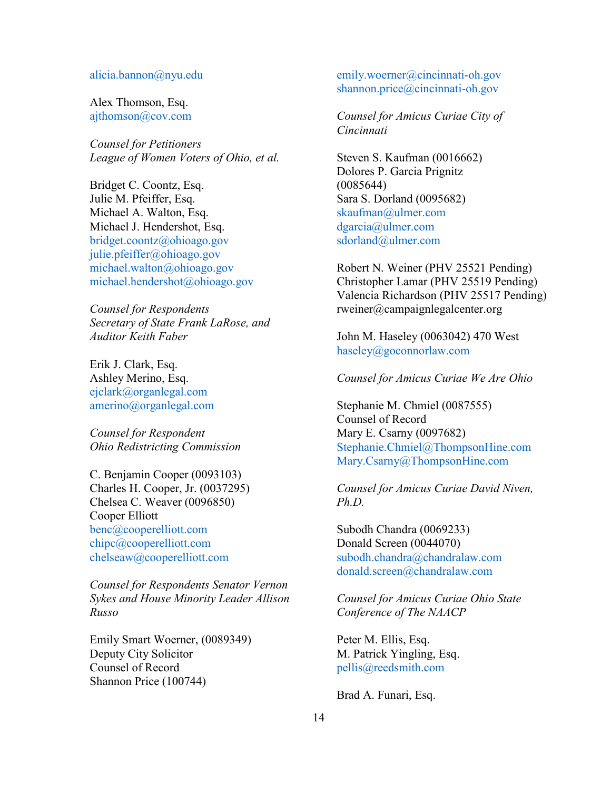#### [alicia.bannon@nyu.edu](mailto:alicia.bannon@nyu.edu)

Alex Thomson, Esq. [ajthomson@cov.com](mailto:ajthomson@cov.com)

*Counsel for Petitioners League of Women Voters of Ohio, et al.*

Bridget C. Coontz, Esq. Julie M. Pfeiffer, Esq. Michael A. Walton, Esq. Michael J. Hendershot, Esq. [bridget.coontz@ohioago.gov](mailto:bridget.coontz@ohioago.gov) [julie.pfeiffer@ohioago.gov](mailto:julie.pfeiffer@ohioago.gov) [michael.walton@ohioago.gov](mailto:michael.walton@ohioago.gov) [michael.hendershot@ohioago.gov](mailto:michael.hendershot@ohioago.gov)

*Counsel for Respondents Secretary of State Frank LaRose, and Auditor Keith Faber*

Erik J. Clark, Esq. Ashley Merino, Esq. [ejclark@organlegal.com](mailto:ejclark@organlegal.com) [amerino@organlegal.com](mailto:amerino@organlegal.com)

*Counsel for Respondent Ohio Redistricting Commission*

C. Benjamin Cooper (0093103) Charles H. Cooper, Jr. (0037295) Chelsea C. Weaver (0096850) Cooper Elliott benc@cooperelliott.com chipc@cooperelliott.com chelseaw@cooperelliott.com

*Counsel for Respondents Senator Vernon Sykes and House Minority Leader Allison Russo*

Emily Smart Woerner, (0089349) Deputy City Solicitor Counsel of Record Shannon Price (100744)

emily.woerner@cincinnati-oh.gov shannon.price@cincinnati-oh.gov

*Counsel for Amicus Curiae City of Cincinnati*

Steven S. Kaufman (0016662) Dolores P. Garcia Prignitz (0085644) Sara S. Dorland (0095682) skaufman@ulmer.com dgarcia@ulmer.com sdorland@ulmer.com

Robert N. Weiner (PHV 25521 Pending) Christopher Lamar (PHV 25519 Pending) Valencia Richardson (PHV 25517 Pending) rweiner@campaignlegalcenter.org

John M. Haseley (0063042) 470 West haseley@goconnorlaw.com

#### *Counsel for Amicus Curiae We Are Ohio*

Stephanie M. Chmiel (0087555) Counsel of Record Mary E. Csarny (0097682) Stephanie.Chmiel@ThompsonHine.com Mary.Csarny@ThompsonHine.com

*Counsel for Amicus Curiae David Niven, Ph.D.*

Subodh Chandra (0069233) Donald Screen (0044070) subodh.chandra@chandralaw.com donald.screen@chandralaw.com

*Counsel for Amicus Curiae Ohio State Conference of The NAACP*

Peter M. Ellis, Esq. M. Patrick Yingling, Esq. [pellis@reedsmith.com](mailto:pellis@reedsmith.com)

Brad A. Funari, Esq.